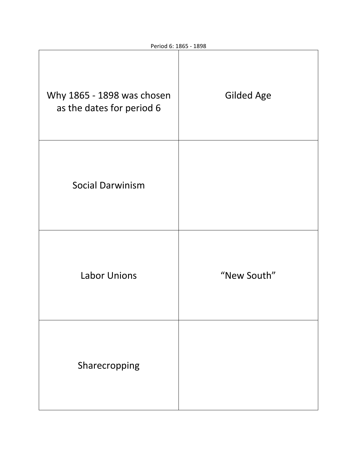| Why 1865 - 1898 was chosen<br>as the dates for period 6 | <b>Gilded Age</b> |
|---------------------------------------------------------|-------------------|
| <b>Social Darwinism</b>                                 |                   |
| <b>Labor Unions</b>                                     | "New South"       |
| Sharecropping                                           |                   |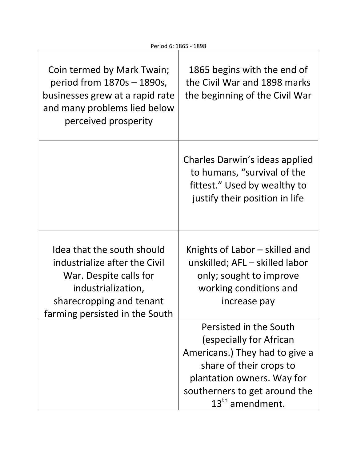| Coin termed by Mark Twain;<br>period from $1870s - 1890s$ ,<br>businesses grew at a rapid rate<br>and many problems lied below<br>perceived prosperity                    | 1865 begins with the end of<br>the Civil War and 1898 marks<br>the beginning of the Civil War                                                                                                                |
|---------------------------------------------------------------------------------------------------------------------------------------------------------------------------|--------------------------------------------------------------------------------------------------------------------------------------------------------------------------------------------------------------|
|                                                                                                                                                                           | Charles Darwin's ideas applied<br>to humans, "survival of the<br>fittest." Used by wealthy to<br>justify their position in life                                                                              |
| Idea that the south should<br>industrialize after the Civil<br>War. Despite calls for<br>industrialization,<br>sharecropping and tenant<br>farming persisted in the South | Knights of Labor – skilled and<br>unskilled; AFL - skilled labor<br>only; sought to improve<br>working conditions and<br>increase pay                                                                        |
|                                                                                                                                                                           | Persisted in the South<br>(especially for African<br>Americans.) They had to give a<br>share of their crops to<br>plantation owners. Way for<br>southerners to get around the<br>13 <sup>th</sup> amendment. |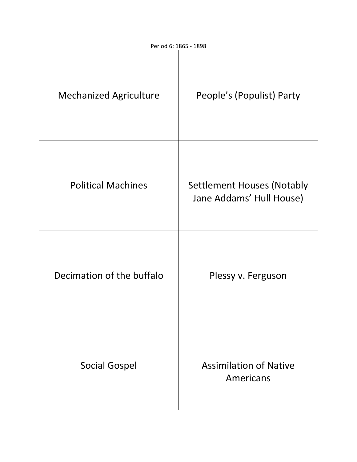| <b>Mechanized Agriculture</b> | People's (Populist) Party                                     |
|-------------------------------|---------------------------------------------------------------|
| <b>Political Machines</b>     | <b>Settlement Houses (Notably</b><br>Jane Addams' Hull House) |
| Decimation of the buffalo     | Plessy v. Ferguson                                            |
| <b>Social Gospel</b>          | <b>Assimilation of Native</b><br>Americans                    |